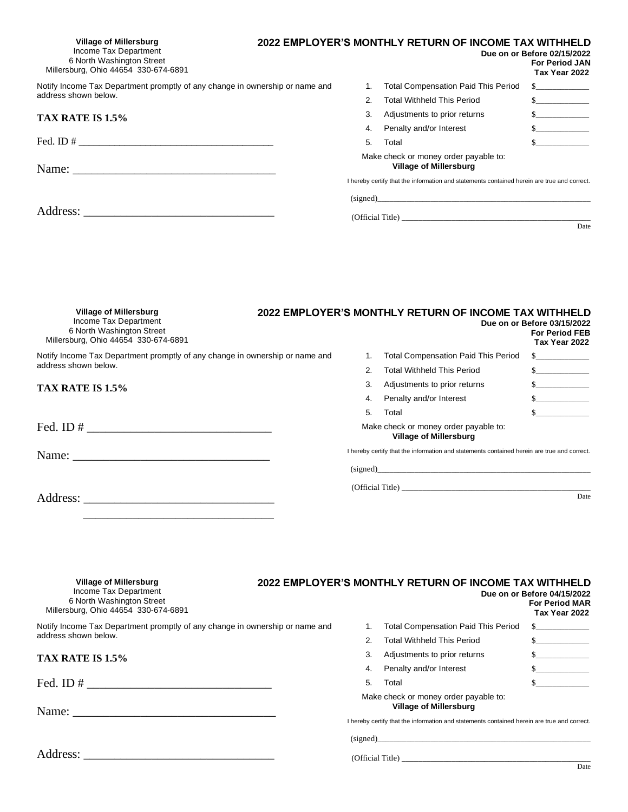| <b>Village of Millersburg</b><br>Income Tax Department<br>6 North Washington Street<br>Millersburg, Ohio 44654 330-674-6891 |    | 2022 EMPLOYER'S MONTHLY RETURN OF INCOME TAX WITHHELD                                       | Due on or Before 02/15/2022<br><b>For Period JAN</b><br>Tax Year 2022 |
|-----------------------------------------------------------------------------------------------------------------------------|----|---------------------------------------------------------------------------------------------|-----------------------------------------------------------------------|
| Notify Income Tax Department promptly of any change in ownership or name and                                                | 1. | <b>Total Compensation Paid This Period</b>                                                  |                                                                       |
| address shown below.                                                                                                        | 2. | <b>Total Withheld This Period</b>                                                           | $\sim$                                                                |
| TAX RATE IS 1.5%                                                                                                            | 3. | Adjustments to prior returns                                                                | $\sim$                                                                |
|                                                                                                                             | 4. | Penalty and/or Interest                                                                     | $\sim$                                                                |
|                                                                                                                             | 5. | Total                                                                                       | $\mathbb{S}$                                                          |
|                                                                                                                             |    | Make check or money order payable to:<br><b>Village of Millersburg</b>                      |                                                                       |
|                                                                                                                             |    | I hereby certify that the information and statements contained herein are true and correct. |                                                                       |
|                                                                                                                             |    |                                                                                             |                                                                       |
|                                                                                                                             |    | (Official Title)                                                                            | Date                                                                  |
|                                                                                                                             |    |                                                                                             |                                                                       |

| <b>Village of Millersburg</b><br>Income Tax Department<br>6 North Washington Street<br>Millersburg, Ohio 44654 330-674-6891 |    | 2022 EMPLOYER'S MONTHLY RETURN OF INCOME TAX WITHHELD                                       | Due on or Before 03/15/2022<br><b>For Period FEB</b><br>Tax Year 2022 |
|-----------------------------------------------------------------------------------------------------------------------------|----|---------------------------------------------------------------------------------------------|-----------------------------------------------------------------------|
| Notify Income Tax Department promptly of any change in ownership or name and                                                |    | <b>Total Compensation Paid This Period</b>                                                  | $\sim$                                                                |
| address shown below.                                                                                                        |    | <b>Total Withheld This Period</b>                                                           | s                                                                     |
| TAX RATE IS 1.5%                                                                                                            | 3. | Adjustments to prior returns                                                                | $\sim$                                                                |
|                                                                                                                             | 4. | Penalty and/or Interest                                                                     | s                                                                     |
|                                                                                                                             | 5. | Total                                                                                       | $\mathbf S$                                                           |
|                                                                                                                             |    | Make check or money order payable to:<br><b>Village of Millersburg</b>                      |                                                                       |
|                                                                                                                             |    | I hereby certify that the information and statements contained herein are true and correct. |                                                                       |
|                                                                                                                             |    | (signed)                                                                                    |                                                                       |
|                                                                                                                             |    | (Official Title)                                                                            |                                                                       |
| Address:                                                                                                                    |    |                                                                                             | Date                                                                  |

| <b>Village of Millersburg</b><br>Income Tax Department<br>6 North Washington Street<br>Millersburg, Ohio 44654 330-674-6891 |    | 2022 EMPLOYER'S MONTHLY RETURN OF INCOME TAX WITHHELD                                                                                                                 | Due on or Before 04/15/2022<br><b>For Period MAR</b><br>Tax Year 2022 |
|-----------------------------------------------------------------------------------------------------------------------------|----|-----------------------------------------------------------------------------------------------------------------------------------------------------------------------|-----------------------------------------------------------------------|
| Notify Income Tax Department promptly of any change in ownership or name and                                                |    | <b>Total Compensation Paid This Period</b>                                                                                                                            | $\mathbb{S}$                                                          |
| address shown below.                                                                                                        |    | <b>Total Withheld This Period</b>                                                                                                                                     |                                                                       |
| TAX RATE IS 1.5%                                                                                                            | 3. | Adjustments to prior returns                                                                                                                                          | $\mathbb{S}$                                                          |
|                                                                                                                             | 4. | Penalty and/or Interest                                                                                                                                               | $\mathbf S$                                                           |
|                                                                                                                             | 5. | Total                                                                                                                                                                 | $\mathbf S$                                                           |
|                                                                                                                             |    | Make check or money order payable to:<br><b>Village of Millersburg</b><br>I hereby certify that the information and statements contained herein are true and correct. |                                                                       |
|                                                                                                                             |    | (signed)                                                                                                                                                              |                                                                       |
|                                                                                                                             |    |                                                                                                                                                                       |                                                                       |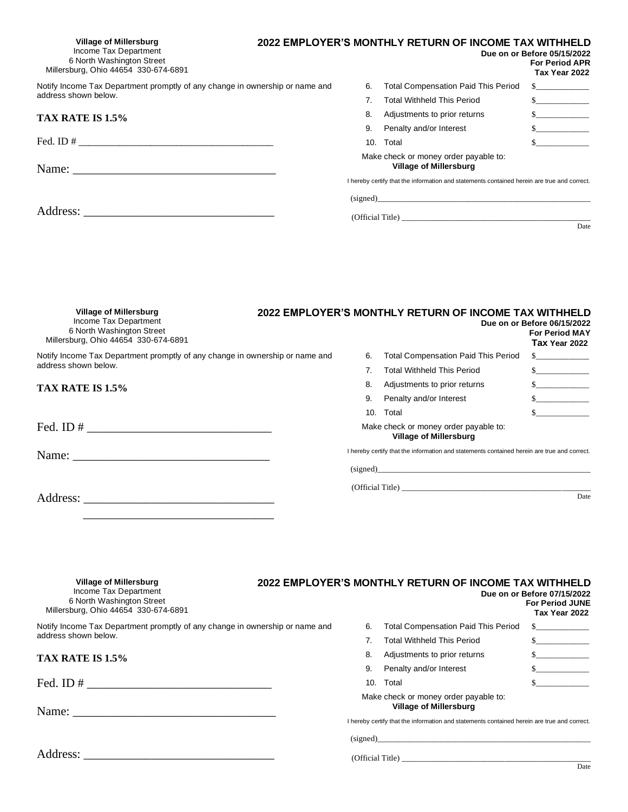| <b>Village of Millersburg</b><br>Income Tax Department<br>6 North Washington Street<br>Millersburg, Ohio 44654 330-674-6891 |     | 2022 EMPLOYER'S MONTHLY RETURN OF INCOME TAX WITHHELD                                       | Due on or Before 05/15/2022<br><b>For Period APR</b><br>Tax Year 2022 |
|-----------------------------------------------------------------------------------------------------------------------------|-----|---------------------------------------------------------------------------------------------|-----------------------------------------------------------------------|
| Notify Income Tax Department promptly of any change in ownership or name and                                                | 6.  | <b>Total Compensation Paid This Period</b>                                                  | $\frac{\text{S}}{\text{S}}$                                           |
| address shown below.                                                                                                        | 7.  | <b>Total Withheld This Period</b>                                                           | $\sim$                                                                |
| TAX RATE IS 1.5%                                                                                                            | 8.  | Adjustments to prior returns                                                                | s                                                                     |
|                                                                                                                             | 9.  | Penalty and/or Interest                                                                     | $\sim$                                                                |
|                                                                                                                             | 10. | Total                                                                                       | $\sim$                                                                |
|                                                                                                                             |     | Make check or money order payable to:<br><b>Village of Millersburg</b>                      |                                                                       |
|                                                                                                                             |     | I hereby certify that the information and statements contained herein are true and correct. |                                                                       |
|                                                                                                                             |     | (signed)                                                                                    |                                                                       |
|                                                                                                                             |     | (Official Title)                                                                            |                                                                       |
|                                                                                                                             |     |                                                                                             | Date                                                                  |
|                                                                                                                             |     |                                                                                             |                                                                       |

| Village of Millersburg<br>Income Tax Department<br>6 North Washington Street<br>Millersburg, Ohio 44654 330-674-6891 |    | 2022 EMPLOYER'S MONTHLY RETURN OF INCOME TAX WITHHELD                                       | Due on or Before 06/15/2022<br><b>For Period MAY</b><br>Tax Year 2022 |
|----------------------------------------------------------------------------------------------------------------------|----|---------------------------------------------------------------------------------------------|-----------------------------------------------------------------------|
| Notify Income Tax Department promptly of any change in ownership or name and                                         | 6. | <b>Total Compensation Paid This Period</b>                                                  |                                                                       |
| address shown below.                                                                                                 |    | <b>Total Withheld This Period</b>                                                           | $\mathbb{S}$                                                          |
| TAX RATE IS 1.5%                                                                                                     | 8. | Adjustments to prior returns                                                                | $\sim$                                                                |
|                                                                                                                      | 9. | Penalty and/or Interest                                                                     |                                                                       |
|                                                                                                                      |    | 10. Total                                                                                   |                                                                       |
| Fed. ID $\#$                                                                                                         |    | Make check or money order payable to:<br><b>Village of Millersburg</b>                      |                                                                       |
|                                                                                                                      |    | I hereby certify that the information and statements contained herein are true and correct. |                                                                       |
|                                                                                                                      |    |                                                                                             |                                                                       |
|                                                                                                                      |    |                                                                                             |                                                                       |
| Address:                                                                                                             |    |                                                                                             | Date                                                                  |

| <b>Village of Millersburg</b><br>Income Tax Department<br>6 North Washington Street<br>Millersburg, Ohio 44654 330-674-6891                                                                                                                                                                            |     | 2022 EMPLOYER'S MONTHLY RETURN OF INCOME TAX WITHHELD                                                                                                                 | Due on or Before 07/15/2022<br><b>For Period JUNE</b><br>Tax Year 2022 |
|--------------------------------------------------------------------------------------------------------------------------------------------------------------------------------------------------------------------------------------------------------------------------------------------------------|-----|-----------------------------------------------------------------------------------------------------------------------------------------------------------------------|------------------------------------------------------------------------|
| Notify Income Tax Department promptly of any change in ownership or name and                                                                                                                                                                                                                           | 6.  | <b>Total Compensation Paid This Period</b>                                                                                                                            | $S_{\perp}$ . The same state of $S_{\perp}$                            |
| address shown below.                                                                                                                                                                                                                                                                                   |     | <b>Total Withheld This Period</b>                                                                                                                                     |                                                                        |
| TAX RATE IS 1.5%                                                                                                                                                                                                                                                                                       | 8.  | Adjustments to prior returns                                                                                                                                          | s                                                                      |
|                                                                                                                                                                                                                                                                                                        | 9.  | Penalty and/or Interest                                                                                                                                               | $\sim$                                                                 |
| Fed. ID # $\frac{1}{2}$ = $\frac{1}{2}$ = $\frac{1}{2}$ = $\frac{1}{2}$ = $\frac{1}{2}$ = $\frac{1}{2}$ = $\frac{1}{2}$ = $\frac{1}{2}$ = $\frac{1}{2}$ = $\frac{1}{2}$ = $\frac{1}{2}$ = $\frac{1}{2}$ = $\frac{1}{2}$ = $\frac{1}{2}$ = $\frac{1}{2}$ = $\frac{1}{2}$ = $\frac{1}{2}$ = $\frac{1}{2$ | 10. | Total                                                                                                                                                                 | $\mathbb{S}$                                                           |
|                                                                                                                                                                                                                                                                                                        |     | Make check or money order payable to:<br><b>Village of Millersburg</b><br>I hereby certify that the information and statements contained herein are true and correct. |                                                                        |
|                                                                                                                                                                                                                                                                                                        |     | (signed)                                                                                                                                                              |                                                                        |
| Address:                                                                                                                                                                                                                                                                                               |     |                                                                                                                                                                       |                                                                        |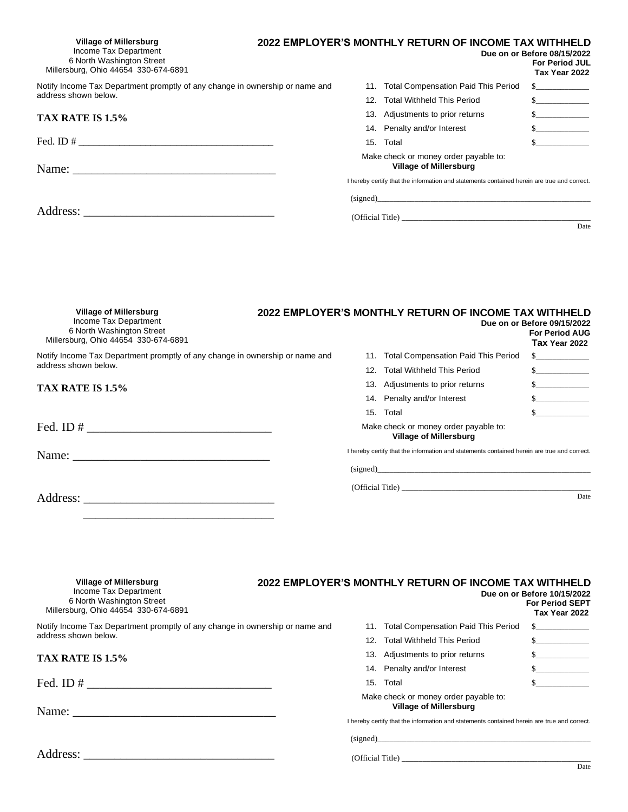| Village of Millersburg<br>Income Tax Department<br>6 North Washington Street<br>Millersburg, Ohio 44654 330-674-6891 |     | 2022 EMPLOYER'S MONTHLY RETURN OF INCOME TAX WITHHELD                                       | Due on or Before 08/15/2022<br><b>For Period JUL</b><br>Tax Year 2022 |
|----------------------------------------------------------------------------------------------------------------------|-----|---------------------------------------------------------------------------------------------|-----------------------------------------------------------------------|
| Notify Income Tax Department promptly of any change in ownership or name and                                         | 11. | <b>Total Compensation Paid This Period</b>                                                  |                                                                       |
| address shown below.                                                                                                 |     | <b>Total Withheld This Period</b>                                                           | s                                                                     |
| TAX RATE IS 1.5%                                                                                                     |     | 13. Adjustments to prior returns                                                            |                                                                       |
|                                                                                                                      |     | 14. Penalty and/or Interest                                                                 | $\sim$                                                                |
|                                                                                                                      | 15. | Total                                                                                       | $s \sim$                                                              |
|                                                                                                                      |     | Make check or money order payable to:<br><b>Village of Millersburg</b>                      |                                                                       |
|                                                                                                                      |     | I hereby certify that the information and statements contained herein are true and correct. |                                                                       |
|                                                                                                                      |     | (signed)                                                                                    |                                                                       |
|                                                                                                                      |     | (Official Title)                                                                            |                                                                       |
|                                                                                                                      |     |                                                                                             | Date                                                                  |
|                                                                                                                      |     |                                                                                             |                                                                       |

| <b>Village of Millersburg</b><br>Income Tax Department<br>6 North Washington Street<br>Millersburg, Ohio 44654 330-674-6891                                                                                                                                                                            |  | 2022 EMPLOYER'S MONTHLY RETURN OF INCOME TAX WITHHELD                                       | Due on or Before 09/15/2022<br><b>For Period AUG</b><br>Tax Year 2022 |
|--------------------------------------------------------------------------------------------------------------------------------------------------------------------------------------------------------------------------------------------------------------------------------------------------------|--|---------------------------------------------------------------------------------------------|-----------------------------------------------------------------------|
| Notify Income Tax Department promptly of any change in ownership or name and                                                                                                                                                                                                                           |  | 11. Total Compensation Paid This Period                                                     | $S_{\perp}$ . The same set of $S_{\perp}$                             |
| address shown below.                                                                                                                                                                                                                                                                                   |  | 12. Total Withheld This Period                                                              | S                                                                     |
| TAX RATE IS 1.5%                                                                                                                                                                                                                                                                                       |  | 13. Adjustments to prior returns                                                            | $\sim$                                                                |
|                                                                                                                                                                                                                                                                                                        |  | 14. Penalty and/or Interest                                                                 | s                                                                     |
|                                                                                                                                                                                                                                                                                                        |  | 15. Total                                                                                   | $\mathbf{s}$                                                          |
| Fed. ID # $\frac{1}{2}$ = $\frac{1}{2}$ = $\frac{1}{2}$ = $\frac{1}{2}$ = $\frac{1}{2}$ = $\frac{1}{2}$ = $\frac{1}{2}$ = $\frac{1}{2}$ = $\frac{1}{2}$ = $\frac{1}{2}$ = $\frac{1}{2}$ = $\frac{1}{2}$ = $\frac{1}{2}$ = $\frac{1}{2}$ = $\frac{1}{2}$ = $\frac{1}{2}$ = $\frac{1}{2}$ = $\frac{1}{2$ |  | Make check or money order payable to:<br><b>Village of Millersburg</b>                      |                                                                       |
|                                                                                                                                                                                                                                                                                                        |  | I hereby certify that the information and statements contained herein are true and correct. |                                                                       |
|                                                                                                                                                                                                                                                                                                        |  | (signed)                                                                                    |                                                                       |
|                                                                                                                                                                                                                                                                                                        |  | (Official Title)                                                                            |                                                                       |
|                                                                                                                                                                                                                                                                                                        |  |                                                                                             | Date                                                                  |

| <b>Village of Millersburg</b><br>Income Tax Department<br>6 North Washington Street<br>Millersburg, Ohio 44654 330-674-6891 |     | 2022 EMPLOYER'S MONTHLY RETURN OF INCOME TAX WITHHELD                                                                                                                 | Due on or Before 10/15/2022<br><b>For Period SEPT</b><br>Tax Year 2022 |
|-----------------------------------------------------------------------------------------------------------------------------|-----|-----------------------------------------------------------------------------------------------------------------------------------------------------------------------|------------------------------------------------------------------------|
| Notify Income Tax Department promptly of any change in ownership or name and                                                |     | 11. Total Compensation Paid This Period                                                                                                                               | $\mathbb{S}$                                                           |
| address shown below.                                                                                                        | 12. | Total Withheld This Period                                                                                                                                            | $\mathbb{S}$                                                           |
| TAX RATE IS 1.5%                                                                                                            |     | 13. Adjustments to prior returns                                                                                                                                      | s                                                                      |
|                                                                                                                             |     | 14. Penalty and/or Interest                                                                                                                                           | s                                                                      |
|                                                                                                                             | 15. | Total                                                                                                                                                                 |                                                                        |
|                                                                                                                             |     | Make check or money order payable to:<br><b>Village of Millersburg</b><br>I hereby certify that the information and statements contained herein are true and correct. |                                                                        |
|                                                                                                                             |     | $\left( \text{signed} \right)$                                                                                                                                        |                                                                        |
| Address:                                                                                                                    |     |                                                                                                                                                                       |                                                                        |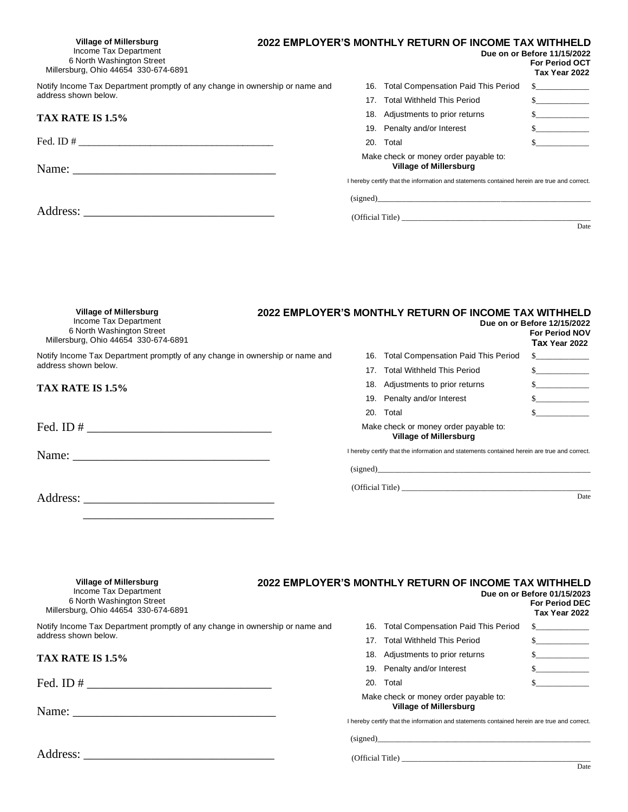| Village of Millersburg<br>Income Tax Department<br>6 North Washington Street<br>Millersburg, Ohio 44654 330-674-6891 |                  |     | 2022 EMPLOYER'S MONTHLY RETURN OF INCOME TAX WITHHELD                                       | Due on or Before 11/15/2022<br><b>For Period OCT</b><br>Tax Year 2022 |
|----------------------------------------------------------------------------------------------------------------------|------------------|-----|---------------------------------------------------------------------------------------------|-----------------------------------------------------------------------|
| Notify Income Tax Department promptly of any change in ownership or name and                                         |                  | 16. | <b>Total Compensation Paid This Period</b>                                                  |                                                                       |
| address shown below.                                                                                                 |                  |     | <b>Total Withheld This Period</b>                                                           | s                                                                     |
| TAX RATE IS 1.5%                                                                                                     |                  |     | 18. Adjustments to prior returns                                                            | s                                                                     |
|                                                                                                                      |                  |     | 19. Penalty and/or Interest                                                                 | s                                                                     |
|                                                                                                                      |                  |     | 20. Total                                                                                   | $\mathbb{S}$                                                          |
|                                                                                                                      |                  |     | Make check or money order payable to:<br><b>Village of Millersburg</b>                      |                                                                       |
|                                                                                                                      |                  |     | I hereby certify that the information and statements contained herein are true and correct. |                                                                       |
|                                                                                                                      |                  |     |                                                                                             |                                                                       |
|                                                                                                                      | (Official Title) |     |                                                                                             |                                                                       |
|                                                                                                                      |                  |     |                                                                                             | Date                                                                  |
|                                                                                                                      |                  |     |                                                                                             |                                                                       |

| <b>Village of Millersburg</b><br>Income Tax Department<br>6 North Washington Street<br>Millersburg, Ohio 44654 330-674-6891                                                                                                                                                                            |  | 2022 EMPLOYER'S MONTHLY RETURN OF INCOME TAX WITHHELD                                       | Due on or Before 12/15/2022<br><b>For Period NOV</b><br>Tax Year 2022 |
|--------------------------------------------------------------------------------------------------------------------------------------------------------------------------------------------------------------------------------------------------------------------------------------------------------|--|---------------------------------------------------------------------------------------------|-----------------------------------------------------------------------|
| Notify Income Tax Department promptly of any change in ownership or name and                                                                                                                                                                                                                           |  | 16. Total Compensation Paid This Period                                                     | $\sim$                                                                |
| address shown below.                                                                                                                                                                                                                                                                                   |  | 17. Total Withheld This Period                                                              |                                                                       |
| TAX RATE IS 1.5%                                                                                                                                                                                                                                                                                       |  | 18. Adjustments to prior returns                                                            | $\sim$                                                                |
|                                                                                                                                                                                                                                                                                                        |  | 19. Penalty and/or Interest                                                                 | $\sim$                                                                |
|                                                                                                                                                                                                                                                                                                        |  | 20. Total                                                                                   | $\mathbf{s}$                                                          |
| Fed. ID # $\frac{1}{2}$ = $\frac{1}{2}$ = $\frac{1}{2}$ = $\frac{1}{2}$ = $\frac{1}{2}$ = $\frac{1}{2}$ = $\frac{1}{2}$ = $\frac{1}{2}$ = $\frac{1}{2}$ = $\frac{1}{2}$ = $\frac{1}{2}$ = $\frac{1}{2}$ = $\frac{1}{2}$ = $\frac{1}{2}$ = $\frac{1}{2}$ = $\frac{1}{2}$ = $\frac{1}{2}$ = $\frac{1}{2$ |  | Make check or money order payable to:<br><b>Village of Millersburg</b>                      |                                                                       |
|                                                                                                                                                                                                                                                                                                        |  | I hereby certify that the information and statements contained herein are true and correct. |                                                                       |
|                                                                                                                                                                                                                                                                                                        |  | (signed)                                                                                    |                                                                       |
|                                                                                                                                                                                                                                                                                                        |  | (Official Title)                                                                            |                                                                       |
| Address:                                                                                                                                                                                                                                                                                               |  |                                                                                             | Date                                                                  |

| <b>Village of Millersburg</b><br>Income Tax Department<br>6 North Washington Street<br>Millersburg, Ohio 44654 330-674-6891 |     | 2022 EMPLOYER'S MONTHLY RETURN OF INCOME TAX WITHHELD                                                                                                                 | Due on or Before 01/15/2023<br><b>For Period DEC</b><br>Tax Year 2022 |
|-----------------------------------------------------------------------------------------------------------------------------|-----|-----------------------------------------------------------------------------------------------------------------------------------------------------------------------|-----------------------------------------------------------------------|
| Notify Income Tax Department promptly of any change in ownership or name and                                                | 16. | <b>Total Compensation Paid This Period</b>                                                                                                                            | $\sim$                                                                |
| address shown below.                                                                                                        | 17. | <b>Total Withheld This Period</b>                                                                                                                                     | $\mathbb{S}$                                                          |
| TAX RATE IS 1.5%                                                                                                            |     | 18. Adjustments to prior returns                                                                                                                                      | s                                                                     |
|                                                                                                                             |     | 19. Penalty and/or Interest                                                                                                                                           | s                                                                     |
|                                                                                                                             | 20. | Total                                                                                                                                                                 |                                                                       |
|                                                                                                                             |     | Make check or money order payable to:<br><b>Village of Millersburg</b><br>I hereby certify that the information and statements contained herein are true and correct. |                                                                       |
|                                                                                                                             |     | (signed)                                                                                                                                                              |                                                                       |
| Address:                                                                                                                    |     |                                                                                                                                                                       |                                                                       |